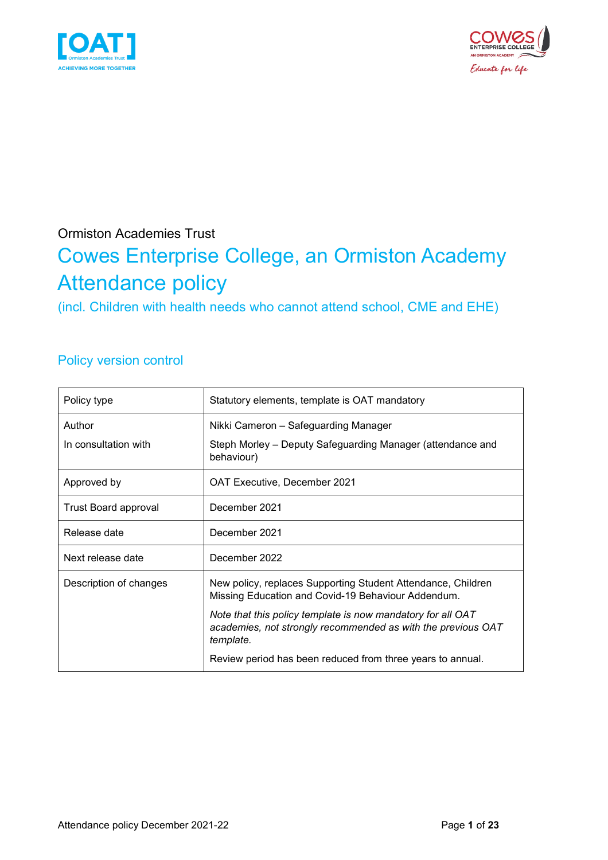



### Ormiston Academies Trust

# Cowes Enterprise College, an Ormiston Academy Attendance policy

(incl. Children with health needs who cannot attend school, CME and EHE)

### Policy version control

| Policy type            | Statutory elements, template is OAT mandatory                                                                                            |  |
|------------------------|------------------------------------------------------------------------------------------------------------------------------------------|--|
| Author                 | Nikki Cameron - Safeguarding Manager                                                                                                     |  |
| In consultation with   | Steph Morley – Deputy Safeguarding Manager (attendance and<br>behaviour)                                                                 |  |
| Approved by            | <b>OAT Executive, December 2021</b>                                                                                                      |  |
| Trust Board approval   | December 2021                                                                                                                            |  |
| Release date           | December 2021                                                                                                                            |  |
| Next release date      | December 2022                                                                                                                            |  |
| Description of changes | New policy, replaces Supporting Student Attendance, Children<br>Missing Education and Covid-19 Behaviour Addendum.                       |  |
|                        | Note that this policy template is now mandatory for all OAT<br>academies, not strongly recommended as with the previous OAT<br>template. |  |
|                        | Review period has been reduced from three years to annual.                                                                               |  |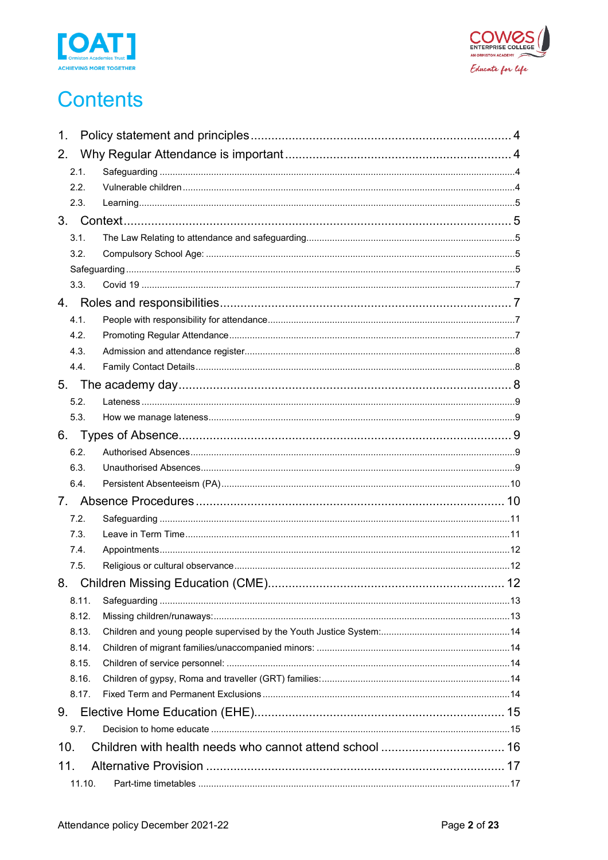



# **Contents**

| 1.     |            |
|--------|------------|
| 2.     |            |
| 2.1.   |            |
| 2.2.   |            |
| 2.3.   |            |
|        |            |
| 3.1.   |            |
| 3.2.   |            |
|        |            |
| 3.3.   |            |
|        |            |
| 4.1.   |            |
| 4.2.   |            |
| 4.3.   |            |
| 4.4.   |            |
|        |            |
| 5.2.   |            |
| 5.3.   |            |
| 6.     |            |
| 6.2.   |            |
| 6.3.   |            |
| 6.4.   |            |
|        |            |
| 7.2.   |            |
| 7.3.   |            |
| 7.4.   |            |
| 7.5.   |            |
| 8.     | $\dots$ 12 |
| 8.11.  |            |
| 8.12.  |            |
| 8.13.  |            |
| 8.14.  |            |
| 8.15.  |            |
| 8.16.  |            |
| 8.17.  |            |
| 9.     |            |
| 9.7.   |            |
| 10.    |            |
| 11.    |            |
| 11.10. |            |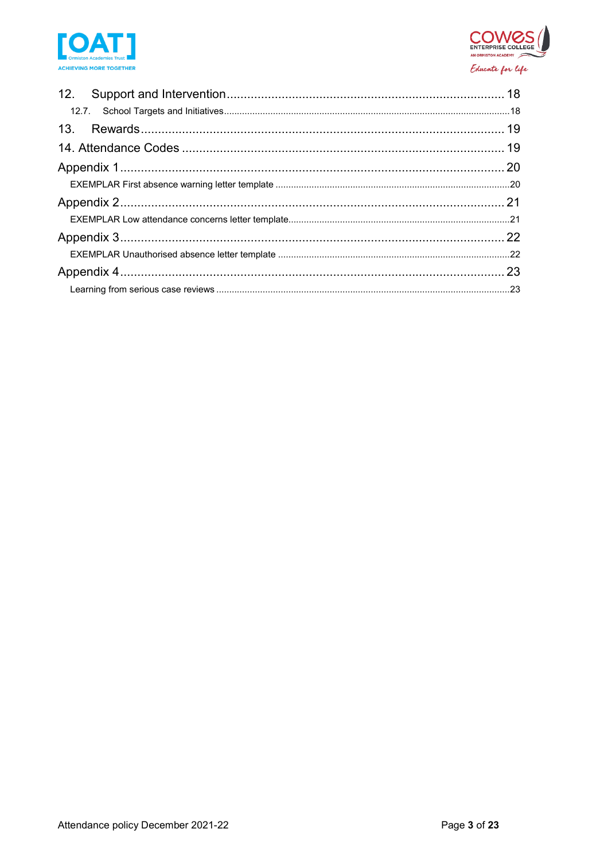

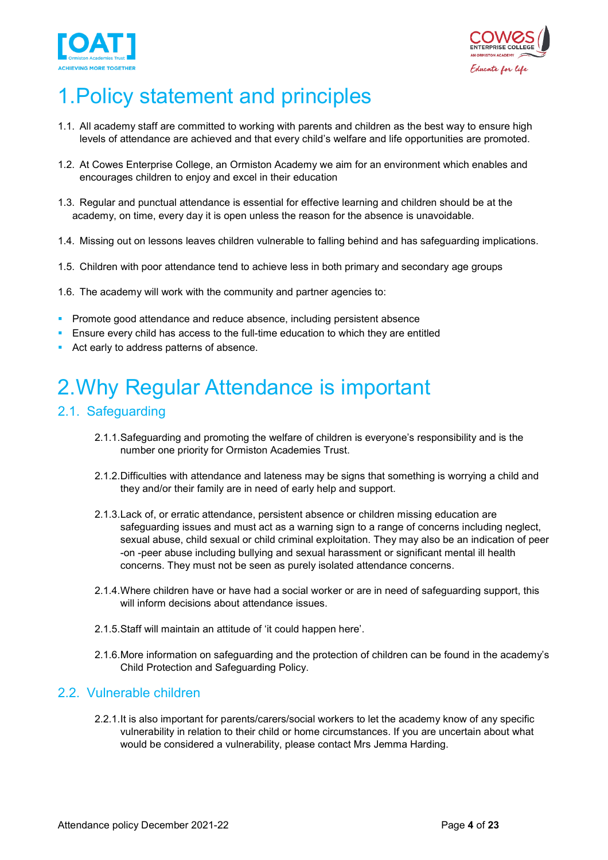



# <span id="page-3-0"></span>1.Policy statement and principles

- 1.1. All academy staff are committed to working with parents and children as the best way to ensure high levels of attendance are achieved and that every child's welfare and life opportunities are promoted.
- 1.2. At Cowes Enterprise College, an Ormiston Academy we aim for an environment which enables and encourages children to enjoy and excel in their education
- 1.3. Regular and punctual attendance is essential for effective learning and children should be at the academy, on time, every day it is open unless the reason for the absence is unavoidable.
- 1.4. Missing out on lessons leaves children vulnerable to falling behind and has safeguarding implications.
- 1.5. Children with poor attendance tend to achieve less in both primary and secondary age groups
- 1.6. The academy will work with the community and partner agencies to:
- **Promote good attendance and reduce absence, including persistent absence**
- Ensure every child has access to the full-time education to which they are entitled
- Act early to address patterns of absence.

# <span id="page-3-1"></span>2.Why Regular Attendance is important

#### <span id="page-3-2"></span>2.1. Safeguarding

- 2.1.1.Safeguarding and promoting the welfare of children is everyone's responsibility and is the number one priority for Ormiston Academies Trust.
- 2.1.2.Difficulties with attendance and lateness may be signs that something is worrying a child and they and/or their family are in need of early help and support.
- 2.1.3.Lack of, or erratic attendance, persistent absence or children missing education are safeguarding issues and must act as a warning sign to a range of concerns including neglect, sexual abuse, child sexual or child criminal exploitation. They may also be an indication of peer -on -peer abuse including bullying and sexual harassment or significant mental ill health concerns. They must not be seen as purely isolated attendance concerns.
- 2.1.4.Where children have or have had a social worker or are in need of safeguarding support, this will inform decisions about attendance issues.
- 2.1.5.Staff will maintain an attitude of 'it could happen here'.
- 2.1.6.More information on safeguarding and the protection of children can be found in the academy's Child Protection and Safeguarding Policy.

#### <span id="page-3-3"></span>2.2. Vulnerable children

2.2.1.It is also important for parents/carers/social workers to let the academy know of any specific vulnerability in relation to their child or home circumstances. If you are uncertain about what would be considered a vulnerability, please contact Mrs Jemma Harding.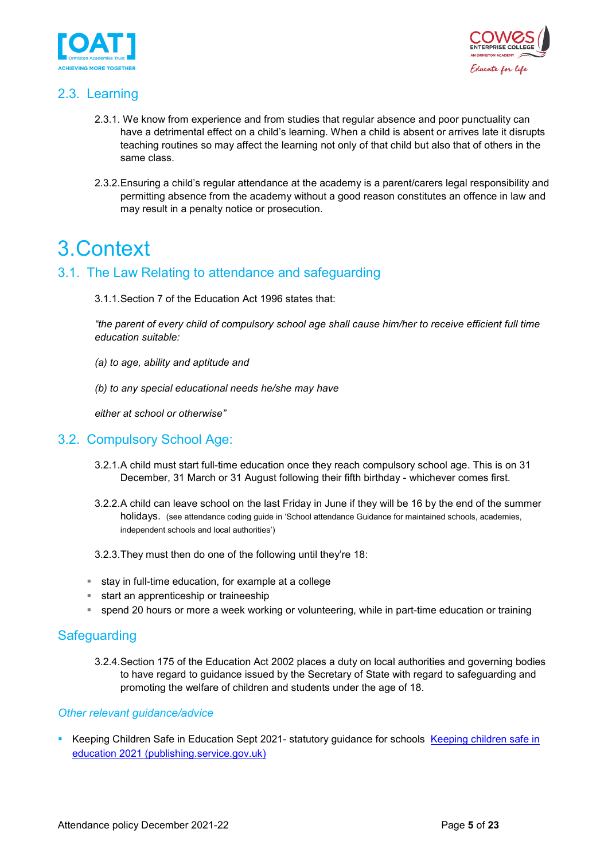



### <span id="page-4-0"></span>2.3. Learning

- 2.3.1. We know from experience and from studies that regular absence and poor punctuality can have a detrimental effect on a child's learning. When a child is absent or arrives late it disrupts teaching routines so may affect the learning not only of that child but also that of others in the same class.
- 2.3.2.Ensuring a child's regular attendance at the academy is a parent/carers legal responsibility and permitting absence from the academy without a good reason constitutes an offence in law and may result in a penalty notice or prosecution.

## <span id="page-4-1"></span>3.Context

#### <span id="page-4-2"></span>3.1. The Law Relating to attendance and safeguarding

3.1.1.Section 7 of the Education Act 1996 states that:

*"the parent of every child of compulsory school age shall cause him/her to receive efficient full time education suitable:*

- *(a) to age, ability and aptitude and*
- *(b) to any special educational needs he/she may have*

*either at school or otherwise"*

#### <span id="page-4-3"></span>3.2. Compulsory School Age:

- 3.2.1.A child must start full-time education once they reach compulsory school age. This is on 31 December, 31 March or 31 August following their fifth birthday - whichever comes first.
- 3.2.2.A child can leave school on the last Friday in June if they will be 16 by the end of the summer holidays. (see attendance coding guide in 'School attendance Guidance for maintained schools, academies, independent schools and local authorities')
- 3.2.3.They must then do one of the following until they're 18:
- $\blacksquare$  stay in full-time education, for example at a college
- **start an apprenticeship or traineeship**
- spend 20 hours or more a week working or volunteering, while in part-time education or training

#### <span id="page-4-4"></span>**Safeguarding**

3.2.4.Section 175 of the Education Act 2002 places a duty on local authorities and governing bodies to have regard to guidance issued by the Secretary of State with regard to safeguarding and promoting the welfare of children and students under the age of 18.

#### *Other relevant guidance/advice*

Keeping Children Safe in Education Sept 2021- statutory guidance for schools Keeping children safe in [education 2021 \(publishing.service.gov.uk\)](https://assets.publishing.service.gov.uk/government/uploads/system/uploads/attachment_data/file/1021914/KCSIE_2021_September_guidance.pdf)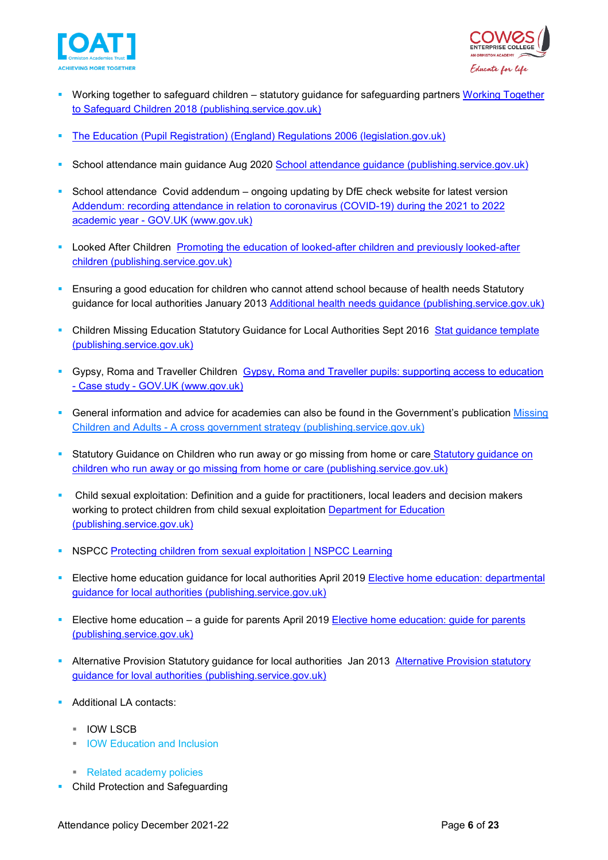



- Working together to safeguard children statutory guidance for safeguarding partners [Working Together](https://assets.publishing.service.gov.uk/government/uploads/system/uploads/attachment_data/file/942454/Working_together_to_safeguard_children_inter_agency_guidance.pdf)  [to Safeguard Children 2018 \(publishing.service.gov.uk\)](https://assets.publishing.service.gov.uk/government/uploads/system/uploads/attachment_data/file/942454/Working_together_to_safeguard_children_inter_agency_guidance.pdf)
- [The Education \(Pupil Registration\) \(England\) Regulations 2006 \(legislation.gov.uk\)](https://www.legislation.gov.uk/uksi/2006/1751/regulation/8/made)
- School attendance main guidance Aug 2020 [School attendance guidance \(publishing.service.gov.uk\)](https://assets.publishing.service.gov.uk/government/uploads/system/uploads/attachment_data/file/907535/School_attendance_guidance_for_2020_to_2021_academic_year.pdf)
- School attendance Covid addendum ongoing updating by DfE check website for latest version Addendum: recording attendance in relation to coronavirus (COVID-19) during the 2021 to 2022 academic year - GOV.UK (www.gov.uk)
- Looked After Children Promoting the education of looked-after children and previously looked-after [children \(publishing.service.gov.uk\)](https://assets.publishing.service.gov.uk/government/uploads/system/uploads/attachment_data/file/683556/Promoting_the_education_of_looked-after_children_and_previously_looked-after_children.pdf)
- Ensuring a good education for children who cannot attend school because of health needs Statutory guidance for local authorities January 2013 [Additional health needs guidance \(publishing.service.gov.uk\)](https://assets.publishing.service.gov.uk/government/uploads/system/uploads/attachment_data/file/941900/health_needs_guidance_accessible.pdf)
- Children Missing Education Statutory Guidance for Local Authorities Sept 2016 [Stat guidance template](https://assets.publishing.service.gov.uk/government/uploads/system/uploads/attachment_data/file/550416/Children_Missing_Education_-_statutory_guidance.pdf)  [\(publishing.service.gov.uk\)](https://assets.publishing.service.gov.uk/government/uploads/system/uploads/attachment_data/file/550416/Children_Missing_Education_-_statutory_guidance.pdf)
- Gypsy, Roma and Traveller Children Gypsy, Roma and Traveller pupils: supporting access to education - Case study - [GOV.UK \(www.gov.uk\)](https://www.gov.uk/government/case-studies/gypsy-roma-and-traveller-pupils-supporting-access-to-education)
- General information and advice for academies can also be found in the Government's publication Missing Children and Adults - [A cross government strategy \(publishing.service.gov.uk\)](https://assets.publishing.service.gov.uk/government/uploads/system/uploads/attachment_data/file/117793/missing-persons-strategy.pdf)
- Statutory Guidance on Children who run away or go missing from home or care Statutory guidance on children who run [away or go missing from home or care \(publishing.service.gov.uk\)](https://assets.publishing.service.gov.uk/government/uploads/system/uploads/attachment_data/file/307867/Statutory_Guidance_-_Missing_from_care__3_.pdf)
- Child sexual exploitation: Definition and a guide for practitioners, local leaders and decision makers working to protect children from child sexual exploitation [Department for Education](https://assets.publishing.service.gov.uk/government/uploads/system/uploads/attachment_data/file/591903/CSE_Guidance_Core_Document_13.02.2017.pdf)  [\(publishing.service.gov.uk\)](https://assets.publishing.service.gov.uk/government/uploads/system/uploads/attachment_data/file/591903/CSE_Guidance_Core_Document_13.02.2017.pdf)
- **NSPCC** [Protecting children from sexual exploitation | NSPCC Learning](https://learning.nspcc.org.uk/child-abuse-and-neglect/child-sexual-exploitation)
- Elective home education guidance for local authorities April 2019 [Elective home education: departmental](https://assets.publishing.service.gov.uk/government/uploads/system/uploads/attachment_data/file/791527/Elective_home_education_gudiance_for_LAv2.0.pdf)  [guidance for local authorities \(publishing.service.gov.uk\)](https://assets.publishing.service.gov.uk/government/uploads/system/uploads/attachment_data/file/791527/Elective_home_education_gudiance_for_LAv2.0.pdf)
- Elective home education a guide for parents April 2019 Elective home education: guide for parents [\(publishing.service.gov.uk\)](https://assets.publishing.service.gov.uk/government/uploads/system/uploads/attachment_data/file/791528/EHE_guidance_for_parentsafterconsultationv2.2.pdf)
- **-** Alternative Provision Statutory guidance for local authorities Jan 2013 Alternative Provision statutory [guidance for loval authorities \(publishing.service.gov.uk\)](https://assets.publishing.service.gov.uk/government/uploads/system/uploads/attachment_data/file/942014/alternative_provision_statutory_guidance_accessible.pdf)
- Additional LA contacts:
	- **IOW LSCB**
	- **IOW Education and Inclusion**
	- Related academy policies
- **Child Protection and Safeguarding**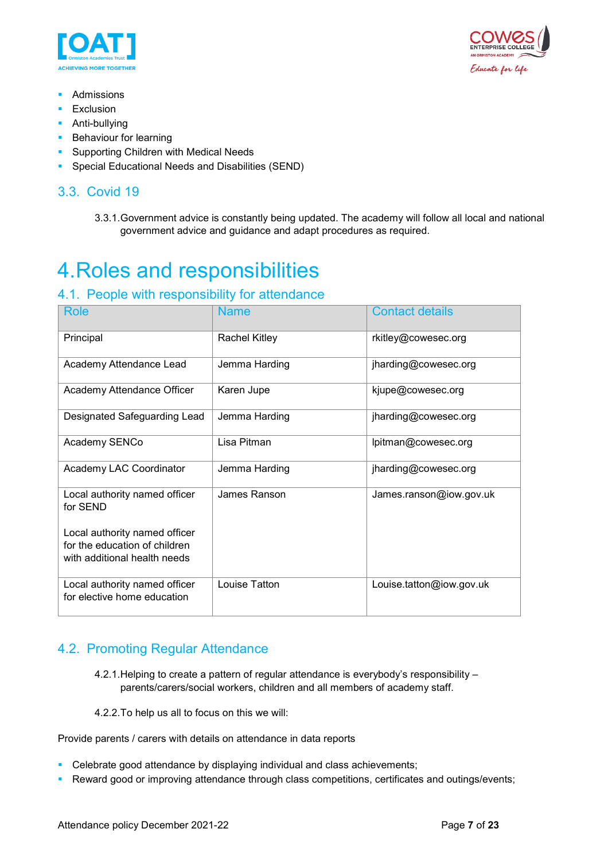



- **Admissions**
- **Exclusion**
- **Anti-bullying**
- **Behaviour for learning**
- **Supporting Children with Medical Needs**
- **Special Educational Needs and Disabilities (SEND)**

### <span id="page-6-0"></span>3.3. Covid 19

3.3.1.Government advice is constantly being updated. The academy will follow all local and national government advice and guidance and adapt procedures as required.

# <span id="page-6-1"></span>4.Roles and responsibilities

### <span id="page-6-2"></span>4.1. People with responsibility for attendance

| <b>Role</b>                                                                                    | <b>Name</b>          | <b>Contact details</b>   |
|------------------------------------------------------------------------------------------------|----------------------|--------------------------|
| Principal                                                                                      | <b>Rachel Kitley</b> | rkitley@cowesec.org      |
| Academy Attendance Lead                                                                        | Jemma Harding        | jharding@cowesec.org     |
| Academy Attendance Officer                                                                     | Karen Jupe           | kjupe@cowesec.org        |
| Designated Safeguarding Lead                                                                   | Jemma Harding        | jharding@cowesec.org     |
| Academy SENCo                                                                                  | Lisa Pitman          | lpitman@cowesec.org      |
| Academy LAC Coordinator                                                                        | Jemma Harding        | jharding@cowesec.org     |
| Local authority named officer<br>for SEND                                                      | James Ranson         | James.ranson@iow.gov.uk  |
| Local authority named officer<br>for the education of children<br>with additional health needs |                      |                          |
| Local authority named officer<br>for elective home education                                   | Louise Tatton        | Louise.tatton@iow.gov.uk |

### <span id="page-6-3"></span>4.2. Promoting Regular Attendance

- 4.2.1.Helping to create a pattern of regular attendance is everybody's responsibility parents/carers/social workers, children and all members of academy staff.
- 4.2.2.To help us all to focus on this we will:

Provide parents / carers with details on attendance in data reports

- Celebrate good attendance by displaying individual and class achievements;
- Reward good or improving attendance through class competitions, certificates and outings/events;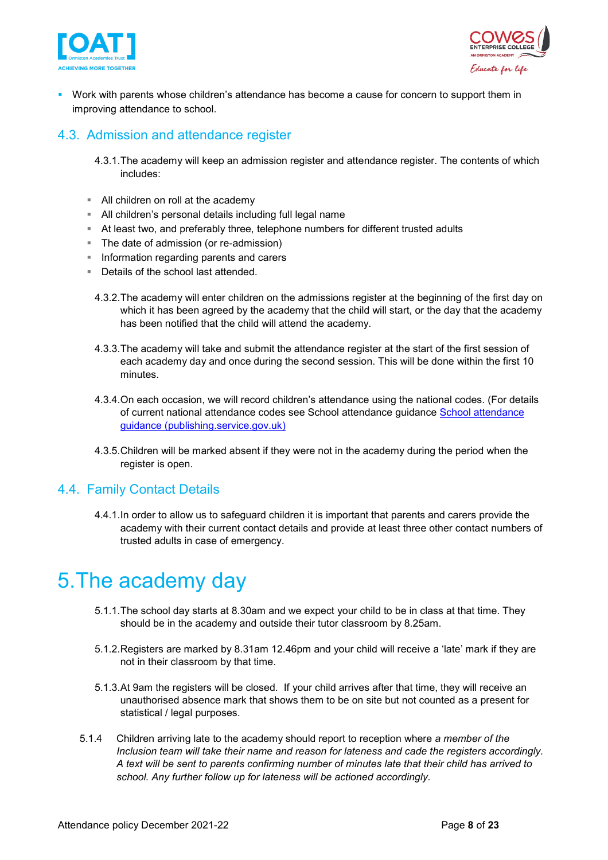



 Work with parents whose children's attendance has become a cause for concern to support them in improving attendance to school.

### <span id="page-7-0"></span>4.3. Admission and attendance register

- 4.3.1.The academy will keep an admission register and attendance register. The contents of which includes:
- All children on roll at the academy
- All children's personal details including full legal name
- At least two, and preferably three, telephone numbers for different trusted adults
- **The date of admission (or re-admission)**
- **Information regarding parents and carers**
- Details of the school last attended.
	- 4.3.2.The academy will enter children on the admissions register at the beginning of the first day on which it has been agreed by the academy that the child will start, or the day that the academy has been notified that the child will attend the academy.
	- 4.3.3.The academy will take and submit the attendance register at the start of the first session of each academy day and once during the second session. This will be done within the first 10 minutes.
	- 4.3.4.On each occasion, we will record children's attendance using the national codes. (For details of current national attendance codes see School attendance guidance [School attendance](https://assets.publishing.service.gov.uk/government/uploads/system/uploads/attachment_data/file/907535/School_attendance_guidance_for_2020_to_2021_academic_year.pdf)  [guidance \(publishing.service.gov.uk\)](https://assets.publishing.service.gov.uk/government/uploads/system/uploads/attachment_data/file/907535/School_attendance_guidance_for_2020_to_2021_academic_year.pdf)
	- 4.3.5.Children will be marked absent if they were not in the academy during the period when the register is open.

#### <span id="page-7-1"></span>4.4. Family Contact Details

4.4.1.In order to allow us to safeguard children it is important that parents and carers provide the academy with their current contact details and provide at least three other contact numbers of trusted adults in case of emergency.

### <span id="page-7-2"></span>5.The academy day

- 5.1.1.The school day starts at 8.30am and we expect your child to be in class at that time. They should be in the academy and outside their tutor classroom by 8.25am.
- 5.1.2.Registers are marked by 8.31am 12.46pm and your child will receive a 'late' mark if they are not in their classroom by that time.
- 5.1.3.At 9am the registers will be closed. If your child arrives after that time, they will receive an unauthorised absence mark that shows them to be on site but not counted as a present for statistical / legal purposes.
- 5.1.4 Children arriving late to the academy should report to reception where *a member of the Inclusion team will take their name and reason for lateness and cade the registers accordingly. A text will be sent to parents confirming number of minutes late that their child has arrived to school. Any further follow up for lateness will be actioned accordingly.*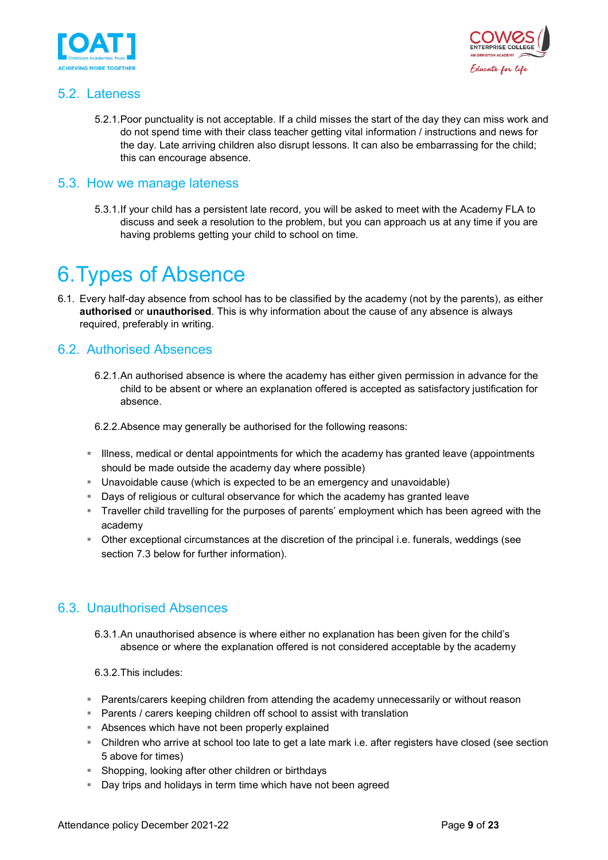



#### <span id="page-8-0"></span>5.2. Lateness

5.2.1.Poor punctuality is not acceptable. If a child misses the start of the day they can miss work and do not spend time with their class teacher getting vital information / instructions and news for the day. Late arriving children also disrupt lessons. It can also be embarrassing for the child; this can encourage absence.

#### <span id="page-8-1"></span>5.3. How we manage lateness

5.3.1.If your child has a persistent late record, you will be asked to meet with the Academy FLA to discuss and seek a resolution to the problem, but you can approach us at any time if you are having problems getting your child to school on time.

## <span id="page-8-2"></span>6.Types of Absence

6.1. Every half-day absence from school has to be classified by the academy (not by the parents), as either **authorised** or **unauthorised**. This is why information about the cause of any absence is always required, preferably in writing.

#### <span id="page-8-3"></span>6.2. Authorised Absences

6.2.1.An authorised absence is where the academy has either given permission in advance for the child to be absent or where an explanation offered is accepted as satisfactory justification for absence.

6.2.2.Absence may generally be authorised for the following reasons:

- Illness, medical or dental appointments for which the academy has granted leave (appointments should be made outside the academy day where possible)
- Unavoidable cause (which is expected to be an emergency and unavoidable)
- **Days of religious or cultural observance for which the academy has granted leave**
- Traveller child travelling for the purposes of parents' employment which has been agreed with the academy
- Other exceptional circumstances at the discretion of the principal i.e. funerals, weddings (see section 7.3 below for further information).

#### <span id="page-8-4"></span>6.3. Unauthorised Absences

6.3.1.An unauthorised absence is where either no explanation has been given for the child's absence or where the explanation offered is not considered acceptable by the academy

6.3.2.This includes:

- Parents/carers keeping children from attending the academy unnecessarily or without reason
- **Parents / carers keeping children off school to assist with translation**
- Absences which have not been properly explained
- Children who arrive at school too late to get a late mark i.e. after registers have closed (see section 5 above for times)
- Shopping, looking after other children or birthdays
- Day trips and holidays in term time which have not been agreed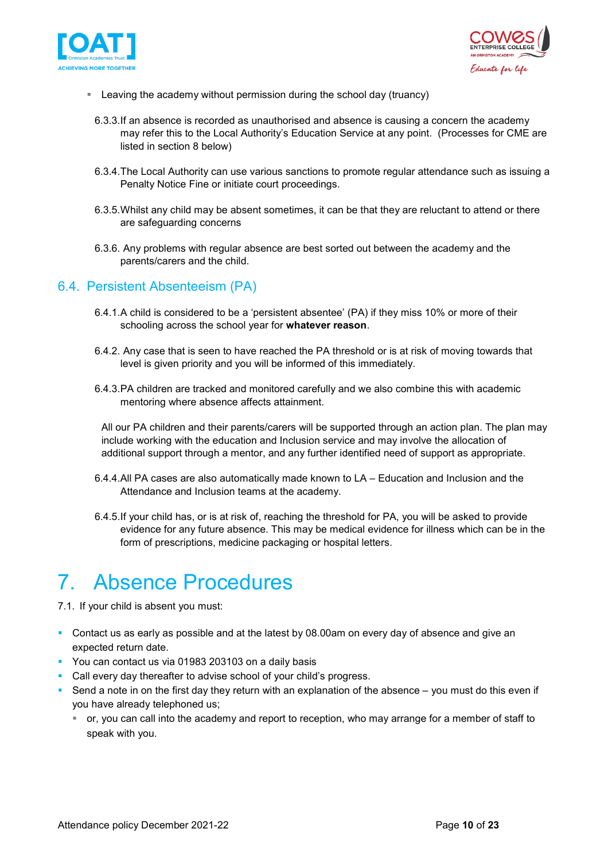



- Leaving the academy without permission during the school day (truancy)
	- 6.3.3.If an absence is recorded as unauthorised and absence is causing a concern the academy may refer this to the Local Authority's Education Service at any point. (Processes for CME are listed in section 8 below)
	- 6.3.4.The Local Authority can use various sanctions to promote regular attendance such as issuing a Penalty Notice Fine or initiate court proceedings.
	- 6.3.5.Whilst any child may be absent sometimes, it can be that they are reluctant to attend or there are safeguarding concerns
	- 6.3.6. Any problems with regular absence are best sorted out between the academy and the parents/carers and the child.

#### <span id="page-9-0"></span>6.4. Persistent Absenteeism (PA)

- 6.4.1.A child is considered to be a 'persistent absentee' (PA) if they miss 10% or more of their schooling across the school year for **whatever reason**.
- 6.4.2. Any case that is seen to have reached the PA threshold or is at risk of moving towards that level is given priority and you will be informed of this immediately.
- 6.4.3.PA children are tracked and monitored carefully and we also combine this with academic mentoring where absence affects attainment.

All our PA children and their parents/carers will be supported through an action plan. The plan may include working with the education and Inclusion service and may involve the allocation of additional support through a mentor, and any further identified need of support as appropriate.

- 6.4.4.All PA cases are also automatically made known to LA Education and Inclusion and the Attendance and Inclusion teams at the academy.
- 6.4.5.If your child has, or is at risk of, reaching the threshold for PA, you will be asked to provide evidence for any future absence. This may be medical evidence for illness which can be in the form of prescriptions, medicine packaging or hospital letters.

## <span id="page-9-1"></span>7. Absence Procedures

- 7.1. If your child is absent you must:
- Contact us as early as possible and at the latest by 08.00am on every day of absence and give an expected return date.
- You can contact us via 01983 203103 on a daily basis
- **Call every day thereafter to advise school of your child's progress.**
- Send a note in on the first day they return with an explanation of the absence  $-$  you must do this even if you have already telephoned us;
	- or, you can call into the academy and report to reception, who may arrange for a member of staff to speak with you.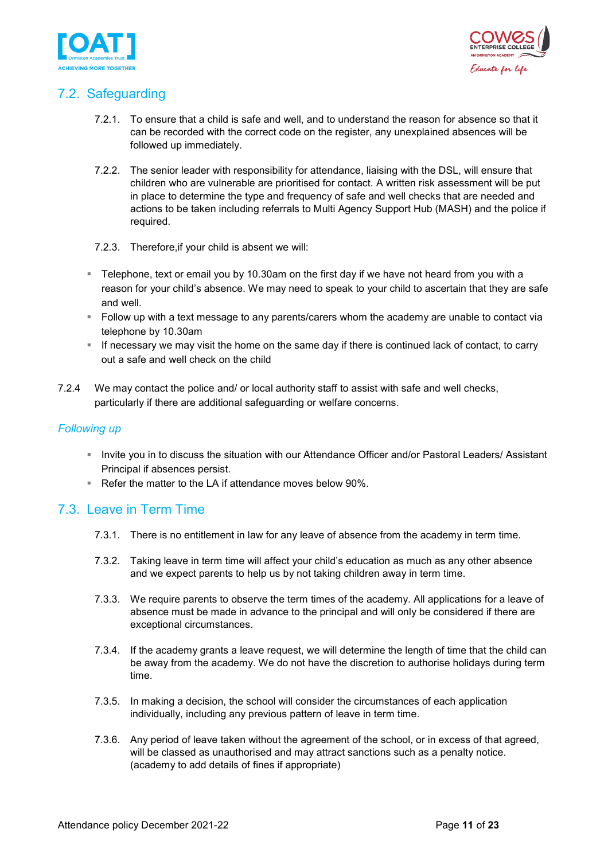



### <span id="page-10-0"></span>7.2. Safeguarding

- 7.2.1. To ensure that a child is safe and well, and to understand the reason for absence so that it can be recorded with the correct code on the register, any unexplained absences will be followed up immediately.
- 7.2.2. The senior leader with responsibility for attendance, liaising with the DSL, will ensure that children who are vulnerable are prioritised for contact. A written risk assessment will be put in place to determine the type and frequency of safe and well checks that are needed and actions to be taken including referrals to Multi Agency Support Hub (MASH) and the police if required.
- 7.2.3. Therefore,if your child is absent we will:
- **Telephone, text or email you by 10.30am on the first day if we have not heard from you with a** reason for your child's absence. We may need to speak to your child to ascertain that they are safe and well.
- Follow up with a text message to any parents/carers whom the academy are unable to contact via telephone by 10.30am
- **If necessary we may visit the home on the same day if there is continued lack of contact, to carry** out a safe and well check on the child
- 7.2.4 We may contact the police and/ or local authority staff to assist with safe and well checks, particularly if there are additional safeguarding or welfare concerns.

#### *Following up*

- Invite you in to discuss the situation with our Attendance Officer and/or Pastoral Leaders/ Assistant Principal if absences persist.
- Refer the matter to the LA if attendance moves below 90%.

#### <span id="page-10-1"></span>7.3. Leave in Term Time

- 7.3.1. There is no entitlement in law for any leave of absence from the academy in term time.
- 7.3.2. Taking leave in term time will affect your child's education as much as any other absence and we expect parents to help us by not taking children away in term time.
- 7.3.3. We require parents to observe the term times of the academy. All applications for a leave of absence must be made in advance to the principal and will only be considered if there are exceptional circumstances.
- 7.3.4. If the academy grants a leave request, we will determine the length of time that the child can be away from the academy. We do not have the discretion to authorise holidays during term time.
- 7.3.5. In making a decision, the school will consider the circumstances of each application individually, including any previous pattern of leave in term time.
- 7.3.6. Any period of leave taken without the agreement of the school, or in excess of that agreed, will be classed as unauthorised and may attract sanctions such as a penalty notice. (academy to add details of fines if appropriate)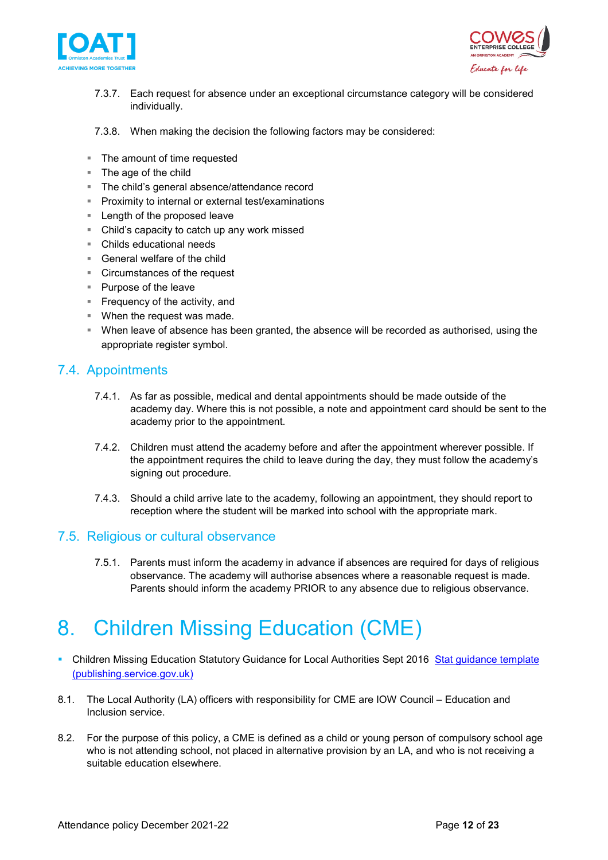



- 7.3.7. Each request for absence under an exceptional circumstance category will be considered individually.
- 7.3.8. When making the decision the following factors may be considered:
- **The amount of time requested**
- **The age of the child**
- The child's general absence/attendance record
- **Proximity to internal or external test/examinations**
- **Length of the proposed leave**
- Child's capacity to catch up any work missed
- Childs educational needs
- General welfare of the child
- Circumstances of the request
- Purpose of the leave
- **Frequency of the activity, and**
- **When the request was made.**
- When leave of absence has been granted, the absence will be recorded as authorised, using the appropriate register symbol.

#### <span id="page-11-0"></span>7.4. Appointments

- 7.4.1. As far as possible, medical and dental appointments should be made outside of the academy day. Where this is not possible, a note and appointment card should be sent to the academy prior to the appointment.
- 7.4.2. Children must attend the academy before and after the appointment wherever possible. If the appointment requires the child to leave during the day, they must follow the academy's signing out procedure.
- 7.4.3. Should a child arrive late to the academy, following an appointment, they should report to reception where the student will be marked into school with the appropriate mark.

#### <span id="page-11-1"></span>7.5. Religious or cultural observance

7.5.1. Parents must inform the academy in advance if absences are required for days of religious observance. The academy will authorise absences where a reasonable request is made. Parents should inform the academy PRIOR to any absence due to religious observance.

## <span id="page-11-2"></span>8. Children Missing Education (CME)

- Children Missing Education Statutory Guidance for Local Authorities Sept 2016 Stat guidance template [\(publishing.service.gov.uk\)](https://assets.publishing.service.gov.uk/government/uploads/system/uploads/attachment_data/file/550416/Children_Missing_Education_-_statutory_guidance.pdf)
- 8.1. The Local Authority (LA) officers with responsibility for CME are IOW Council Education and Inclusion service.
- 8.2. For the purpose of this policy, a CME is defined as a child or young person of compulsory school age who is not attending school, not placed in alternative provision by an LA, and who is not receiving a suitable education elsewhere.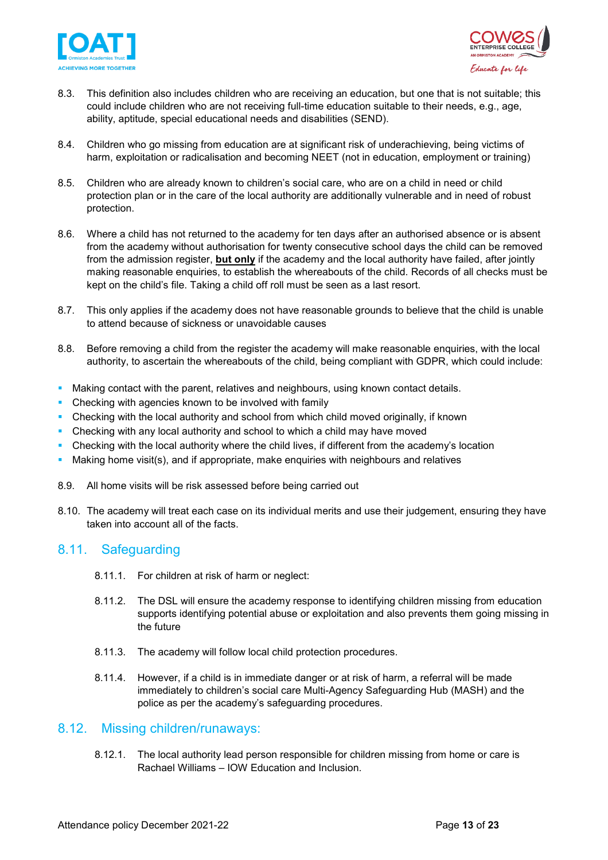



- 8.3. This definition also includes children who are receiving an education, but one that is not suitable; this could include children who are not receiving full-time education suitable to their needs, e.g., age, ability, aptitude, special educational needs and disabilities (SEND).
- 8.4. Children who go missing from education are at significant risk of underachieving, being victims of harm, exploitation or radicalisation and becoming NEET (not in education, employment or training)
- 8.5. Children who are already known to children's social care, who are on a child in need or child protection plan or in the care of the local authority are additionally vulnerable and in need of robust protection.
- 8.6. Where a child has not returned to the academy for ten days after an authorised absence or is absent from the academy without authorisation for twenty consecutive school days the child can be removed from the admission register, **but only** if the academy and the local authority have failed, after jointly making reasonable enquiries, to establish the whereabouts of the child. Records of all checks must be kept on the child's file. Taking a child off roll must be seen as a last resort.
- 8.7. This only applies if the academy does not have reasonable grounds to believe that the child is unable to attend because of sickness or unavoidable causes
- 8.8. Before removing a child from the register the academy will make reasonable enquiries, with the local authority, to ascertain the whereabouts of the child, being compliant with GDPR, which could include:
- Making contact with the parent, relatives and neighbours, using known contact details.
- Checking with agencies known to be involved with family
- Checking with the local authority and school from which child moved originally, if known
- Checking with any local authority and school to which a child may have moved
- Checking with the local authority where the child lives, if different from the academy's location
- Making home visit(s), and if appropriate, make enquiries with neighbours and relatives
- 8.9. All home visits will be risk assessed before being carried out
- 8.10. The academy will treat each case on its individual merits and use their judgement, ensuring they have taken into account all of the facts.

#### <span id="page-12-0"></span>8.11. Safeguarding

- 8.11.1. For children at risk of harm or neglect:
- 8.11.2. The DSL will ensure the academy response to identifying children missing from education supports identifying potential abuse or exploitation and also prevents them going missing in the future
- 8.11.3. The academy will follow local child protection procedures.
- 8.11.4. However, if a child is in immediate danger or at risk of harm, a referral will be made immediately to children's social care Multi-Agency Safeguarding Hub (MASH) and the police as per the academy's safeguarding procedures.

#### <span id="page-12-1"></span>8.12. Missing children/runaways:

8.12.1. The local authority lead person responsible for children missing from home or care is Rachael Williams – IOW Education and Inclusion.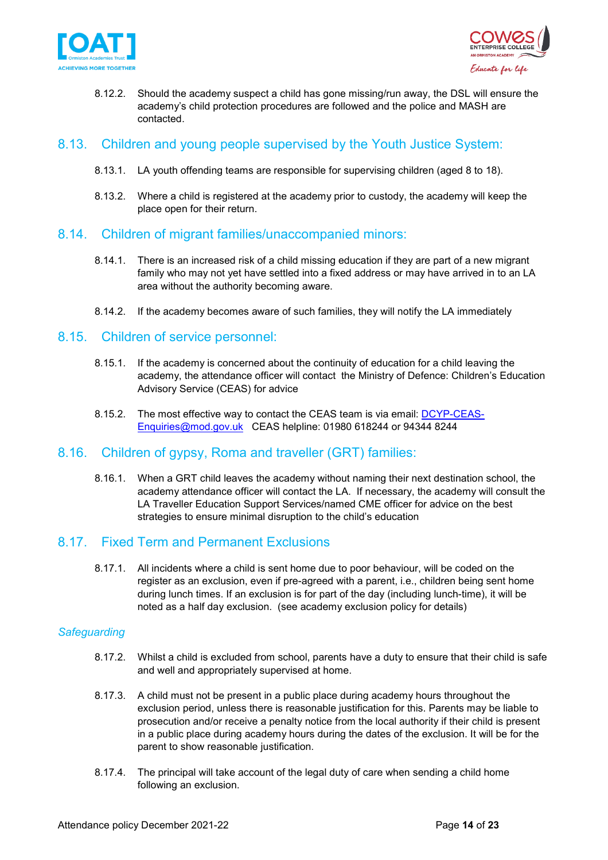



8.12.2. Should the academy suspect a child has gone missing/run away, the DSL will ensure the academy's child protection procedures are followed and the police and MASH are contacted.

#### <span id="page-13-0"></span>8.13. Children and young people supervised by the Youth Justice System:

- 8.13.1. LA youth offending teams are responsible for supervising children (aged 8 to 18).
- 8.13.2. Where a child is registered at the academy prior to custody, the academy will keep the place open for their return.

#### <span id="page-13-1"></span>8.14. Children of migrant families/unaccompanied minors:

- 8.14.1. There is an increased risk of a child missing education if they are part of a new migrant family who may not yet have settled into a fixed address or may have arrived in to an LA area without the authority becoming aware.
- 8.14.2. If the academy becomes aware of such families, they will notify the LA immediately

#### <span id="page-13-2"></span>8.15. Children of service personnel:

- 8.15.1. If the academy is concerned about the continuity of education for a child leaving the academy, the attendance officer will contact the Ministry of Defence: Children's Education Advisory Service (CEAS) for advice
- 8.15.2. The most effective way to contact the CEAS team is via email: [DCYP-CEAS-](mailto:DCYP-CEAS-Enquiries@mod.gov.uk)[Enquiries@mod.gov.uk](mailto:DCYP-CEAS-Enquiries@mod.gov.uk) CEAS helpline: 01980 618244 or 94344 8244

#### <span id="page-13-3"></span>8.16. Children of gypsy, Roma and traveller (GRT) families:

8.16.1. When a GRT child leaves the academy without naming their next destination school, the academy attendance officer will contact the LA. If necessary, the academy will consult the LA Traveller Education Support Services/named CME officer for advice on the best strategies to ensure minimal disruption to the child's education

#### <span id="page-13-4"></span>8.17. Fixed Term and Permanent Exclusions

8.17.1. All incidents where a child is sent home due to poor behaviour, will be coded on the register as an exclusion, even if pre-agreed with a parent, i.e., children being sent home during lunch times. If an exclusion is for part of the day (including lunch-time), it will be noted as a half day exclusion. (see academy exclusion policy for details)

#### *Safeguarding*

- 8.17.2. Whilst a child is excluded from school, parents have a duty to ensure that their child is safe and well and appropriately supervised at home.
- 8.17.3. A child must not be present in a public place during academy hours throughout the exclusion period, unless there is reasonable justification for this. Parents may be liable to prosecution and/or receive a penalty notice from the local authority if their child is present in a public place during academy hours during the dates of the exclusion. It will be for the parent to show reasonable justification.
- 8.17.4. The principal will take account of the legal duty of care when sending a child home following an exclusion.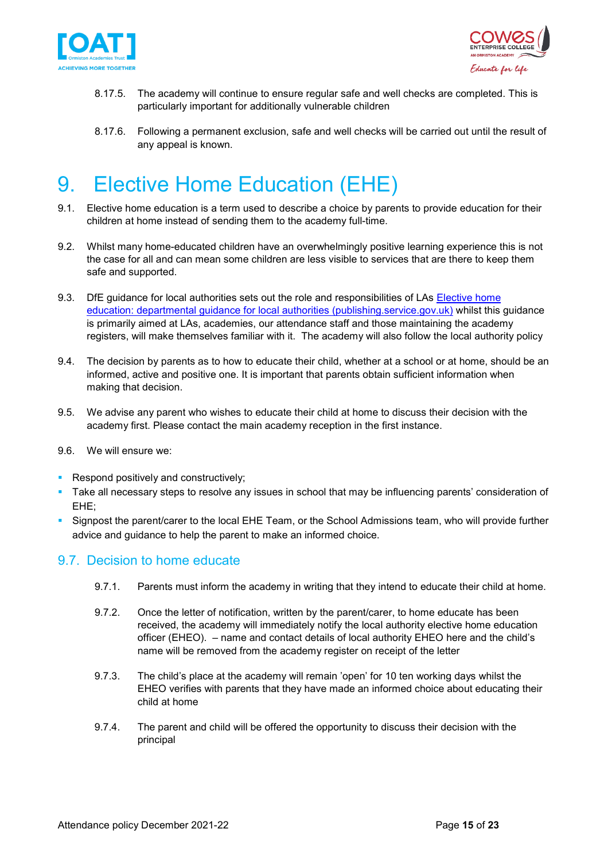



- 8.17.5. The academy will continue to ensure regular safe and well checks are completed. This is particularly important for additionally vulnerable children
- 8.17.6. Following a permanent exclusion, safe and well checks will be carried out until the result of any appeal is known.

# <span id="page-14-0"></span>9. Elective Home Education (EHE)

- 9.1. Elective home education is a term used to describe a choice by parents to provide education for their children at home instead of sending them to the academy full-time.
- 9.2. Whilst many home-educated children have an overwhelmingly positive learning experience this is not the case for all and can mean some children are less visible to services that are there to keep them safe and supported.
- 9.3. DfE guidance for local authorities sets out the role and responsibilities of LAs [Elective home](https://assets.publishing.service.gov.uk/government/uploads/system/uploads/attachment_data/file/791527/Elective_home_education_gudiance_for_LAv2.0.pdf)  [education: departmental guidance for local authorities \(publishing.service.gov.uk\)](https://assets.publishing.service.gov.uk/government/uploads/system/uploads/attachment_data/file/791527/Elective_home_education_gudiance_for_LAv2.0.pdf) whilst this guidance is primarily aimed at LAs, academies, our attendance staff and those maintaining the academy registers, will make themselves familiar with it. The academy will also follow the local authority policy
- 9.4. The decision by parents as to how to educate their child, whether at a school or at home, should be an informed, active and positive one. It is important that parents obtain sufficient information when making that decision.
- 9.5. We advise any parent who wishes to educate their child at home to discuss their decision with the academy first. Please contact the main academy reception in the first instance.
- 9.6. We will ensure we:
- Respond positively and constructively;
- Take all necessary steps to resolve any issues in school that may be influencing parents' consideration of EHE;
- Signpost the parent/carer to the local EHE Team, or the School Admissions team, who will provide further advice and guidance to help the parent to make an informed choice.

#### <span id="page-14-1"></span>9.7. Decision to home educate

- 9.7.1. Parents must inform the academy in writing that they intend to educate their child at home.
- 9.7.2. Once the letter of notification, written by the parent/carer, to home educate has been received, the academy will immediately notify the local authority elective home education officer (EHEO). – name and contact details of local authority EHEO here and the child's name will be removed from the academy register on receipt of the letter
- 9.7.3. The child's place at the academy will remain 'open' for 10 ten working days whilst the EHEO verifies with parents that they have made an informed choice about educating their child at home
- 9.7.4. The parent and child will be offered the opportunity to discuss their decision with the principal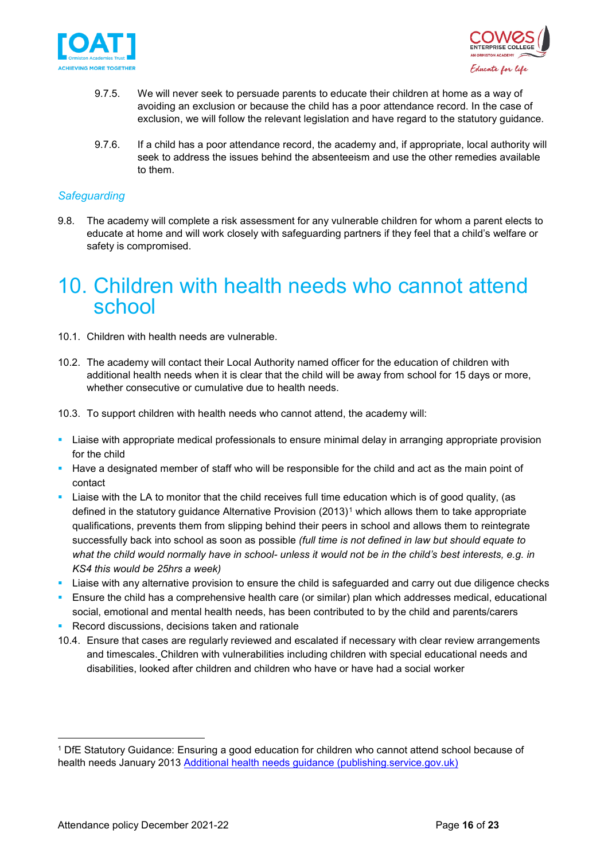



- 9.7.5. We will never seek to persuade parents to educate their children at home as a way of avoiding an exclusion or because the child has a poor attendance record. In the case of exclusion, we will follow the relevant legislation and have regard to the statutory guidance.
- 9.7.6. If a child has a poor attendance record, the academy and, if appropriate, local authority will seek to address the issues behind the absenteeism and use the other remedies available to them.

#### *Safeguarding*

9.8. The academy will complete a risk assessment for any vulnerable children for whom a parent elects to educate at home and will work closely with safeguarding partners if they feel that a child's welfare or safety is compromised.

### <span id="page-15-0"></span>10. Children with health needs who cannot attend school

- 10.1. Children with health needs are vulnerable.
- 10.2. The academy will contact their Local Authority named officer for the education of children with additional health needs when it is clear that the child will be away from school for 15 days or more, whether consecutive or cumulative due to health needs.
- 10.3. To support children with health needs who cannot attend, the academy will:
- Liaise with appropriate medical professionals to ensure minimal delay in arranging appropriate provision for the child
- Have a designated member of staff who will be responsible for the child and act as the main point of contact
- Liaise with the LA to monitor that the child receives full time education which is of good quality, (as defined in the statutory guidance Alternative Provision (20[1](#page-15-1)3)<sup>1</sup> which allows them to take appropriate qualifications, prevents them from slipping behind their peers in school and allows them to reintegrate successfully back into school as soon as possible *(full time is not defined in law but should equate to what the child would normally have in school- unless it would not be in the child's best interests, e.g. in KS4 this would be 25hrs a week)*
- Liaise with any alternative provision to ensure the child is safeguarded and carry out due diligence checks
- **Ensure the child has a comprehensive health care (or similar) plan which addresses medical, educational** social, emotional and mental health needs, has been contributed to by the child and parents/carers
- Record discussions, decisions taken and rationale
- 10.4. Ensure that cases are regularly reviewed and escalated if necessary with clear review arrangements and timescales. Children with vulnerabilities including children with special educational needs and disabilities, looked after children and children who have or have had a social worker

<span id="page-15-1"></span><sup>1</sup> DfE Statutory Guidance: Ensuring a good education for children who cannot attend school because of health needs January 2013 [Additional health needs guidance \(publishing.service.gov.uk\)](https://assets.publishing.service.gov.uk/government/uploads/system/uploads/attachment_data/file/941900/health_needs_guidance_accessible.pdf)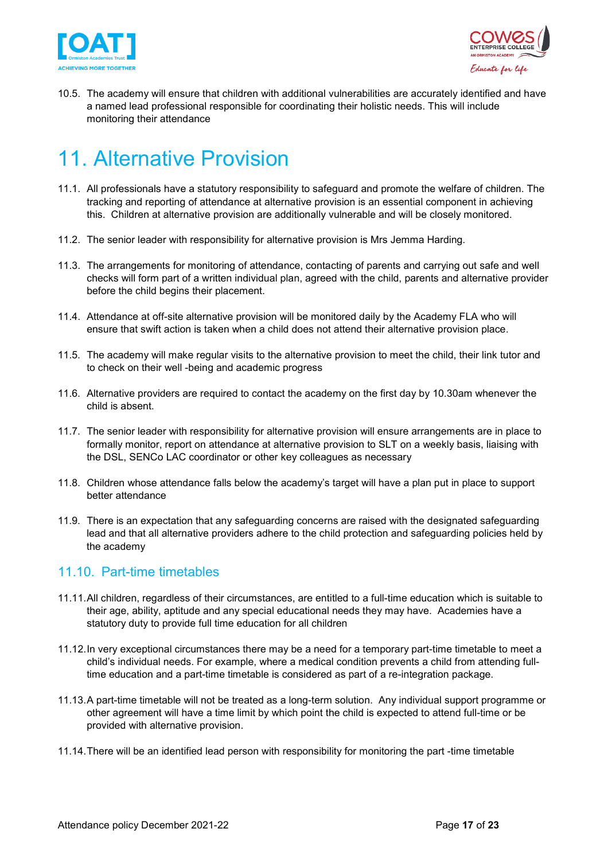



10.5. The academy will ensure that children with additional vulnerabilities are accurately identified and have a named lead professional responsible for coordinating their holistic needs. This will include monitoring their attendance

# <span id="page-16-0"></span>11. Alternative Provision

- 11.1. All professionals have a statutory responsibility to safeguard and promote the welfare of children. The tracking and reporting of attendance at alternative provision is an essential component in achieving this. Children at alternative provision are additionally vulnerable and will be closely monitored.
- 11.2. The senior leader with responsibility for alternative provision is Mrs Jemma Harding.
- 11.3. The arrangements for monitoring of attendance, contacting of parents and carrying out safe and well checks will form part of a written individual plan, agreed with the child, parents and alternative provider before the child begins their placement.
- 11.4. Attendance at off-site alternative provision will be monitored daily by the Academy FLA who will ensure that swift action is taken when a child does not attend their alternative provision place.
- 11.5. The academy will make regular visits to the alternative provision to meet the child, their link tutor and to check on their well -being and academic progress
- 11.6. Alternative providers are required to contact the academy on the first day by 10.30am whenever the child is absent.
- 11.7. The senior leader with responsibility for alternative provision will ensure arrangements are in place to formally monitor, report on attendance at alternative provision to SLT on a weekly basis, liaising with the DSL, SENCo LAC coordinator or other key colleagues as necessary
- 11.8. Children whose attendance falls below the academy's target will have a plan put in place to support better attendance
- 11.9. There is an expectation that any safeguarding concerns are raised with the designated safeguarding lead and that all alternative providers adhere to the child protection and safeguarding policies held by the academy

#### <span id="page-16-1"></span>11.10. Part-time timetables

- 11.11.All children, regardless of their circumstances, are entitled to a full-time education which is suitable to their age, ability, aptitude and any special educational needs they may have. Academies have a statutory duty to provide full time education for all children
- 11.12.In very exceptional circumstances there may be a need for a temporary part-time timetable to meet a child's individual needs. For example, where a medical condition prevents a child from attending fulltime education and a part-time timetable is considered as part of a re-integration package.
- 11.13.A part-time timetable will not be treated as a long-term solution. Any individual support programme or other agreement will have a time limit by which point the child is expected to attend full-time or be provided with alternative provision.
- 11.14.There will be an identified lead person with responsibility for monitoring the part -time timetable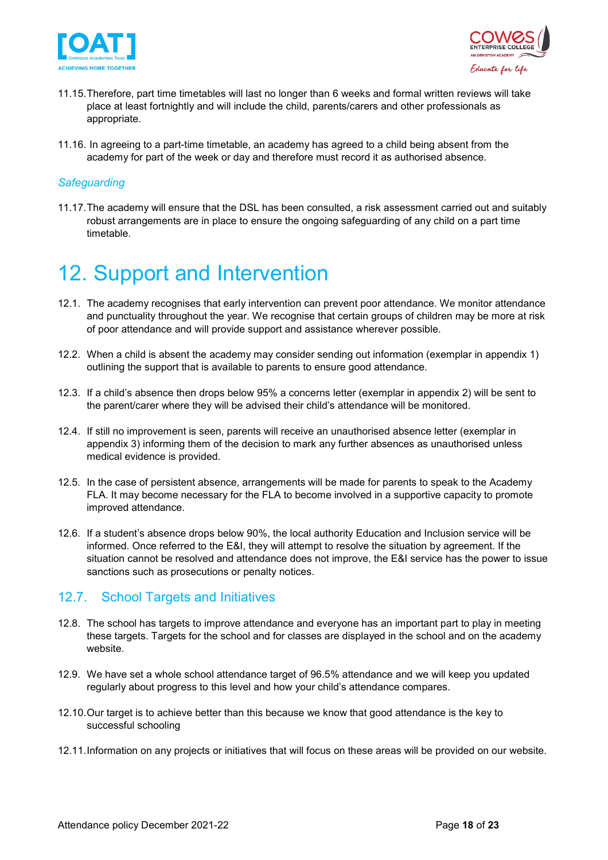



- 11.15.Therefore, part time timetables will last no longer than 6 weeks and formal written reviews will take place at least fortnightly and will include the child, parents/carers and other professionals as appropriate.
- 11.16. In agreeing to a part-time timetable, an academy has agreed to a child being absent from the academy for part of the week or day and therefore must record it as authorised absence.

#### *Safeguarding*

11.17.The academy will ensure that the DSL has been consulted, a risk assessment carried out and suitably robust arrangements are in place to ensure the ongoing safeguarding of any child on a part time timetable.

## <span id="page-17-0"></span>12. Support and Intervention

- 12.1. The academy recognises that early intervention can prevent poor attendance. We monitor attendance and punctuality throughout the year. We recognise that certain groups of children may be more at risk of poor attendance and will provide support and assistance wherever possible.
- 12.2. When a child is absent the academy may consider sending out information (exemplar in appendix 1) outlining the support that is available to parents to ensure good attendance.
- 12.3. If a child's absence then drops below 95% a concerns letter (exemplar in appendix 2) will be sent to the parent/carer where they will be advised their child's attendance will be monitored.
- 12.4. If still no improvement is seen, parents will receive an unauthorised absence letter (exemplar in appendix 3) informing them of the decision to mark any further absences as unauthorised unless medical evidence is provided.
- 12.5. In the case of persistent absence, arrangements will be made for parents to speak to the Academy FLA. It may become necessary for the FLA to become involved in a supportive capacity to promote improved attendance.
- 12.6. If a student's absence drops below 90%, the local authority Education and Inclusion service will be informed. Once referred to the E&I, they will attempt to resolve the situation by agreement. If the situation cannot be resolved and attendance does not improve, the E&I service has the power to issue sanctions such as prosecutions or penalty notices.

#### <span id="page-17-1"></span>12.7. School Targets and Initiatives

- 12.8. The school has targets to improve attendance and everyone has an important part to play in meeting these targets. Targets for the school and for classes are displayed in the school and on the academy website.
- 12.9. We have set a whole school attendance target of 96.5% attendance and we will keep you updated regularly about progress to this level and how your child's attendance compares.
- 12.10.Our target is to achieve better than this because we know that good attendance is the key to successful schooling
- 12.11.Information on any projects or initiatives that will focus on these areas will be provided on our website.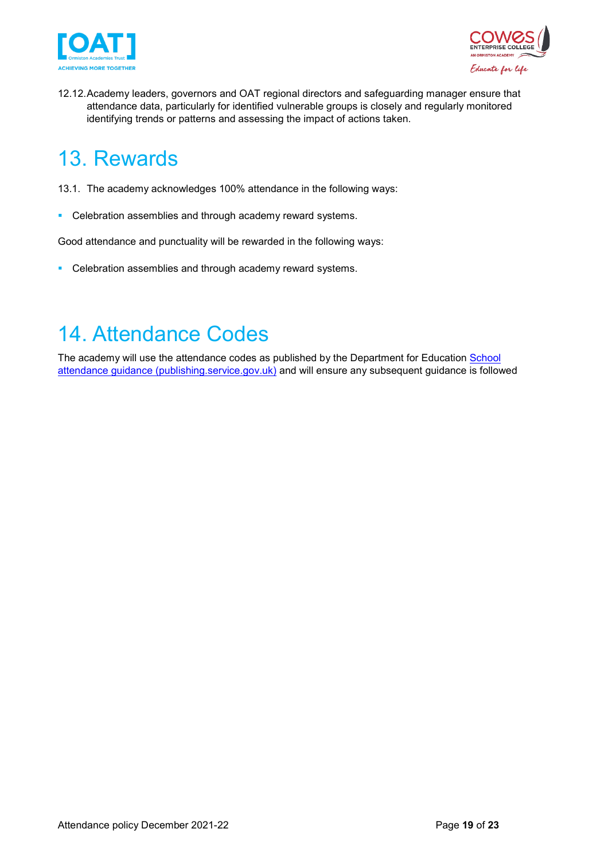



12.12.Academy leaders, governors and OAT regional directors and safeguarding manager ensure that attendance data, particularly for identified vulnerable groups is closely and regularly monitored identifying trends or patterns and assessing the impact of actions taken.

# <span id="page-18-0"></span>13. Rewards

- 13.1. The academy acknowledges 100% attendance in the following ways:
- **Celebration assemblies and through academy reward systems.**

Good attendance and punctuality will be rewarded in the following ways:

**Celebration assemblies and through academy reward systems.** 

## <span id="page-18-1"></span>14. Attendance Codes

The academy will use the attendance codes as published by the Department for Education School [attendance guidance \(publishing.service.gov.uk\)](https://assets.publishing.service.gov.uk/government/uploads/system/uploads/attachment_data/file/907535/School_attendance_guidance_for_2020_to_2021_academic_year.pdf) and will ensure any subsequent guidance is followed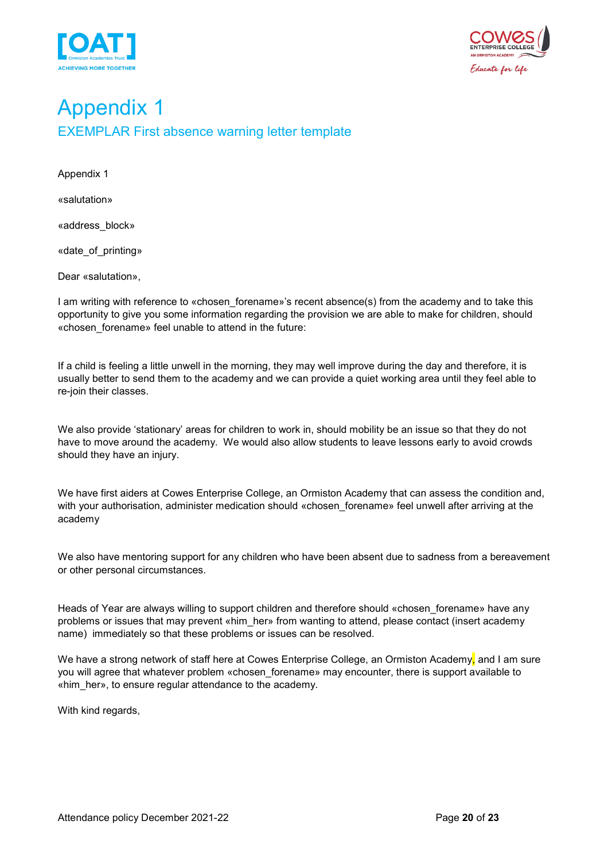



## <span id="page-19-1"></span><span id="page-19-0"></span>Appendix 1 EXEMPLAR First absence warning letter template

Appendix 1

«salutation»

«address\_block»

«date\_of\_printing»

Dear «salutation»,

I am writing with reference to «chosen\_forename»'s recent absence(s) from the academy and to take this opportunity to give you some information regarding the provision we are able to make for children, should «chosen\_forename» feel unable to attend in the future:

If a child is feeling a little unwell in the morning, they may well improve during the day and therefore, it is usually better to send them to the academy and we can provide a quiet working area until they feel able to re-join their classes.

We also provide 'stationary' areas for children to work in, should mobility be an issue so that they do not have to move around the academy. We would also allow students to leave lessons early to avoid crowds should they have an injury.

We have first aiders at Cowes Enterprise College, an Ormiston Academy that can assess the condition and, with your authorisation, administer medication should «chosen forename» feel unwell after arriving at the academy

We also have mentoring support for any children who have been absent due to sadness from a bereavement or other personal circumstances.

Heads of Year are always willing to support children and therefore should «chosen forename» have any problems or issues that may prevent «him\_her» from wanting to attend, please contact (insert academy name) immediately so that these problems or issues can be resolved.

We have a strong network of staff here at Cowes Enterprise College, an Ormiston Academy, and I am sure you will agree that whatever problem «chosen forename» may encounter, there is support available to «him\_her», to ensure regular attendance to the academy.

With kind regards,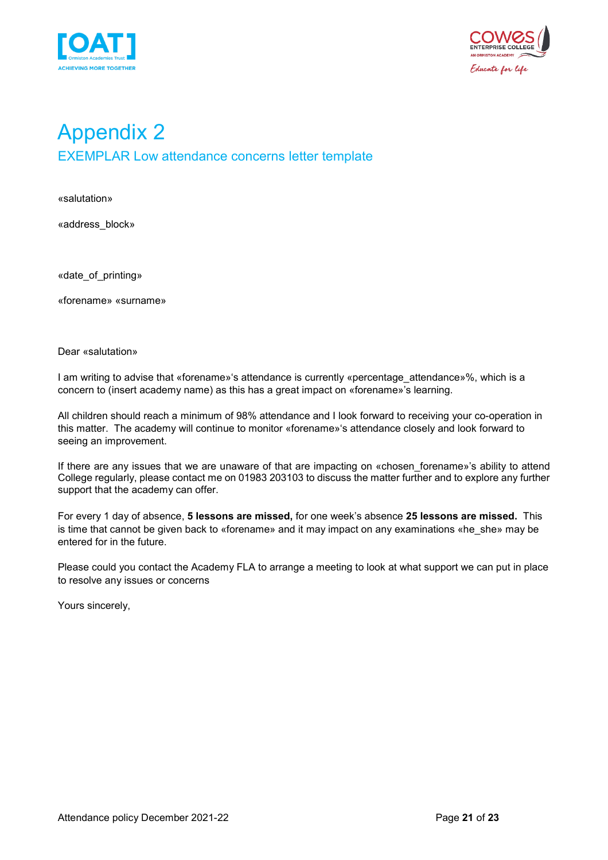



## <span id="page-20-1"></span><span id="page-20-0"></span>Appendix 2 EXEMPLAR Low attendance concerns letter template

«salutation»

«address\_block»

«date\_of\_printing»

«forename» «surname»

Dear «salutation»

I am writing to advise that «forename»'s attendance is currently «percentage attendance»%, which is a concern to (insert academy name) as this has a great impact on «forename»'s learning.

All children should reach a minimum of 98% attendance and I look forward to receiving your co-operation in this matter. The academy will continue to monitor «forename»'s attendance closely and look forward to seeing an improvement.

If there are any issues that we are unaware of that are impacting on «chosen forename»'s ability to attend College regularly, please contact me on 01983 203103 to discuss the matter further and to explore any further support that the academy can offer.

For every 1 day of absence, **5 lessons are missed,** for one week's absence **25 lessons are missed.** This is time that cannot be given back to «forename» and it may impact on any examinations «he\_she» may be entered for in the future.

Please could you contact the Academy FLA to arrange a meeting to look at what support we can put in place to resolve any issues or concerns

Yours sincerely,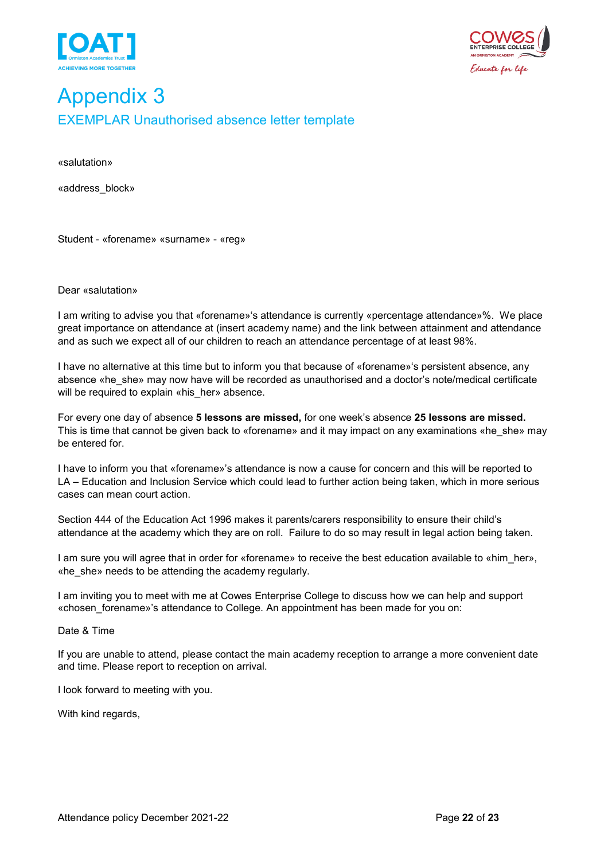



### <span id="page-21-1"></span><span id="page-21-0"></span>Appendix 3 EXEMPLAR Unauthorised absence letter template

«salutation»

«address\_block»

Student - «forename» «surname» - «reg»

Dear «salutation»

I am writing to advise you that «forename»'s attendance is currently «percentage attendance»%. We place great importance on attendance at (insert academy name) and the link between attainment and attendance and as such we expect all of our children to reach an attendance percentage of at least 98%.

I have no alternative at this time but to inform you that because of «forename»'s persistent absence, any absence «he\_she» may now have will be recorded as unauthorised and a doctor's note/medical certificate will be required to explain «his her» absence.

For every one day of absence **5 lessons are missed,** for one week's absence **25 lessons are missed.** This is time that cannot be given back to «forename» and it may impact on any examinations «he\_she» may be entered for.

I have to inform you that «forename»'s attendance is now a cause for concern and this will be reported to LA – Education and Inclusion Service which could lead to further action being taken, which in more serious cases can mean court action.

Section 444 of the Education Act 1996 makes it parents/carers responsibility to ensure their child's attendance at the academy which they are on roll. Failure to do so may result in legal action being taken.

I am sure you will agree that in order for «forename» to receive the best education available to «him\_her», «he\_she» needs to be attending the academy regularly.

I am inviting you to meet with me at Cowes Enterprise College to discuss how we can help and support «chosen\_forename»'s attendance to College. An appointment has been made for you on:

Date & Time

If you are unable to attend, please contact the main academy reception to arrange a more convenient date and time. Please report to reception on arrival.

I look forward to meeting with you.

With kind regards,